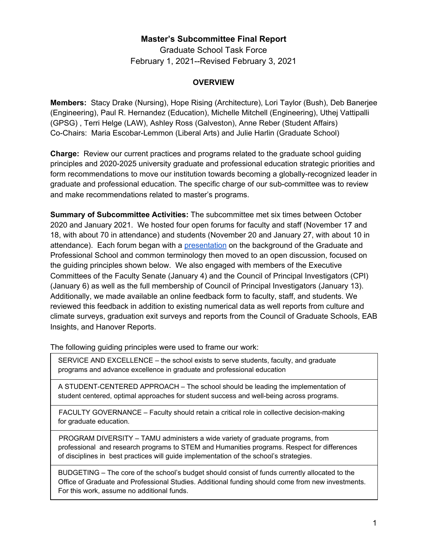## **Master's Subcommittee Final Report**

Graduate School Task Force February 1, 2021--Revised February 3, 2021

#### **OVERVIEW**

**Members:** Stacy Drake (Nursing), Hope Rising (Architecture), Lori Taylor (Bush), Deb Banerjee (Engineering), Paul R. Hernandez (Education), Michelle Mitchell (Engineering), Uthej Vattipalli (GPSG) , Terri Helge (LAW), Ashley Ross (Galveston), Anne Reber (Student Affairs) Co-Chairs: Maria Escobar-Lemmon (Liberal Arts) and Julie Harlin (Graduate School)

**Charge:** Review our current practices and programs related to the graduate school guiding principles and 2020-2025 university graduate and professional education strategic priorities and form recommendations to move our institution towards becoming a globally-recognized leader in graduate and professional education. The specific charge of our sub-committee was to review and make recommendations related to master's programs.

**Summary of Subcommittee Activities:** The subcommittee met six times between October 2020 and January 2021. We hosted four open forums for faculty and staff (November 17 and 18, with about 70 in attendance) and students (November 20 and January 27, with about 10 in attendance). Each forum began with a [presentation](https://drive.google.com/file/d/1GM_WVQVup6v9MjO4kB7Xne9-574vFKxw/view?usp=sharing) on the background of the Graduate and Professional School and common terminology then moved to an open discussion, focused on the guiding principles shown below. We also engaged with members of the Executive Committees of the Faculty Senate (January 4) and the Council of Principal Investigators (CPI) (January 6) as well as the full membership of Council of Principal Investigators (January 13). Additionally, we made available an online feedback form to faculty, staff, and students. We reviewed this feedback in addition to existing numerical data as well reports from culture and climate surveys, graduation exit surveys and reports from the Council of Graduate Schools, EAB Insights, and Hanover Reports.

The following guiding principles were used to frame our work:

SERVICE AND EXCELLENCE – the school exists to serve students, faculty, and graduate programs and advance excellence in graduate and professional education

A STUDENT-CENTERED APPROACH – The school should be leading the implementation of student centered, optimal approaches for student success and well-being across programs.

FACULTY GOVERNANCE – Faculty should retain a critical role in collective decision-making for graduate education.

PROGRAM DIVERSITY – TAMU administers a wide variety of graduate programs, from professional and research programs to STEM and Humanities programs. Respect for differences of disciplines in best practices will guide implementation of the school's strategies.

BUDGETING – The core of the school's budget should consist of funds currently allocated to the Office of Graduate and Professional Studies. Additional funding should come from new investments. For this work, assume no additional funds.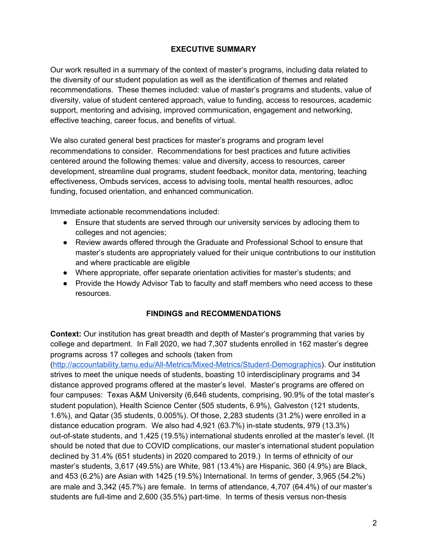# **EXECUTIVE SUMMARY**

Our work resulted in a summary of the context of master's programs, including data related to the diversity of our student population as well as the identification of themes and related recommendations. These themes included: value of master's programs and students, value of diversity, value of student centered approach, value to funding, access to resources, academic support, mentoring and advising, improved communication, engagement and networking, effective teaching, career focus, and benefits of virtual.

We also curated general best practices for master's programs and program level recommendations to consider. Recommendations for best practices and future activities centered around the following themes: value and diversity, access to resources, career development, streamline dual programs, student feedback, monitor data, mentoring, teaching effectiveness, Ombuds services, access to advising tools, mental health resources, adloc funding, focused orientation, and enhanced communication.

Immediate actionable recommendations included:

- Ensure that students are served through our university services by adlocing them to colleges and not agencies;
- Review awards offered through the Graduate and Professional School to ensure that master's students are appropriately valued for their unique contributions to our institution and where practicable are eligible
- Where appropriate, offer separate orientation activities for master's students; and
- Provide the Howdy Advisor Tab to faculty and staff members who need access to these resources.

### **FINDINGS and RECOMMENDATIONS**

**Context:** Our institution has great breadth and depth of Master's programming that varies by college and department. In Fall 2020, we had 7,307 students enrolled in 162 master's degree programs across 17 colleges and schools (taken from

([http://accountability.tamu.edu/All-Metrics/Mixed-Metrics/Student-Demographics\)](http://accountability.tamu.edu/All-Metrics/Mixed-Metrics/Student-Demographics). Our institution strives to meet the unique needs of students, boasting 10 interdisciplinary programs and 34 distance approved programs offered at the master's level. Master's programs are offered on four campuses: Texas A&M University (6,646 students, comprising, 90.9% of the total master's student population), Health Science Center (505 students, 6.9%), Galveston (121 students, 1.6%), and Qatar (35 students, 0.005%). Of those, 2,283 students (31.2%) were enrolled in a distance education program. We also had 4,921 (63.7%) in-state students, 979 (13.3%) out-of-state students, and 1,425 (19.5%) international students enrolled at the master's level. (It should be noted that due to COVID complications, our master's international student population declined by 31.4% (651 students) in 2020 compared to 2019.) In terms of ethnicity of our master's students, 3,617 (49.5%) are White, 981 (13.4%) are Hispanic, 360 (4.9%) are Black, and 453 (6.2%) are Asian with 1425 (19.5%) International. In terms of gender, 3,965 (54.2%) are male and 3,342 (45.7%) are female. In terms of attendance, 4,707 (64.4%) of our master's students are full-time and 2,600 (35.5%) part-time. In terms of thesis versus non-thesis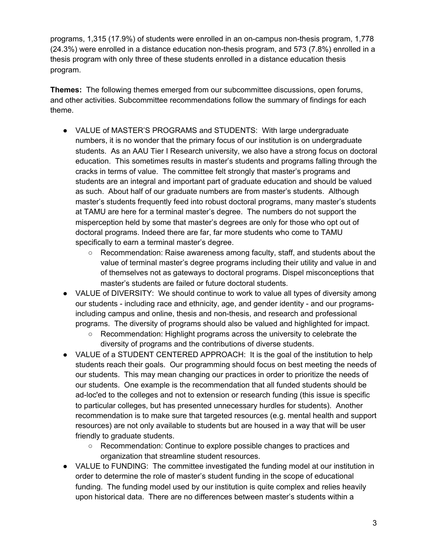programs, 1,315 (17.9%) of students were enrolled in an on-campus non-thesis program, 1,778 (24.3%) were enrolled in a distance education non-thesis program, and 573 (7.8%) enrolled in a thesis program with only three of these students enrolled in a distance education thesis program.

**Themes:** The following themes emerged from our subcommittee discussions, open forums, and other activities. Subcommittee recommendations follow the summary of findings for each theme.

- VALUE of MASTER'S PROGRAMS and STUDENTS: With large undergraduate numbers, it is no wonder that the primary focus of our institution is on undergraduate students. As an AAU Tier I Research university, we also have a strong focus on doctoral education. This sometimes results in master's students and programs falling through the cracks in terms of value. The committee felt strongly that master's programs and students are an integral and important part of graduate education and should be valued as such. About half of our graduate numbers are from master's students. Although master's students frequently feed into robust doctoral programs, many master's students at TAMU are here for a terminal master's degree. The numbers do not support the misperception held by some that master's degrees are only for those who opt out of doctoral programs. Indeed there are far, far more students who come to TAMU specifically to earn a terminal master's degree.
	- $\circ$  Recommendation: Raise awareness among faculty, staff, and students about the value of terminal master's degree programs including their utility and value in and of themselves not as gateways to doctoral programs. Dispel misconceptions that master's students are failed or future doctoral students.
- VALUE of DIVERSITY: We should continue to work to value all types of diversity among our students - including race and ethnicity, age, and gender identity - and our programsincluding campus and online, thesis and non-thesis, and research and professional programs. The diversity of programs should also be valued and highlighted for impact.
	- Recommendation: Highlight programs across the university to celebrate the diversity of programs and the contributions of diverse students.
- VALUE of a STUDENT CENTERED APPROACH: It is the goal of the institution to help students reach their goals. Our programming should focus on best meeting the needs of our students. This may mean changing our practices in order to prioritize the needs of our students. One example is the recommendation that all funded students should be ad-loc'ed to the colleges and not to extension or research funding (this issue is specific to particular colleges, but has presented unnecessary hurdles for students). Another recommendation is to make sure that targeted resources (e.g. mental health and support resources) are not only available to students but are housed in a way that will be user friendly to graduate students.
	- Recommendation: Continue to explore possible changes to practices and organization that streamline student resources.
- VALUE to FUNDING: The committee investigated the funding model at our institution in order to determine the role of master's student funding in the scope of educational funding. The funding model used by our institution is quite complex and relies heavily upon historical data. There are no differences between master's students within a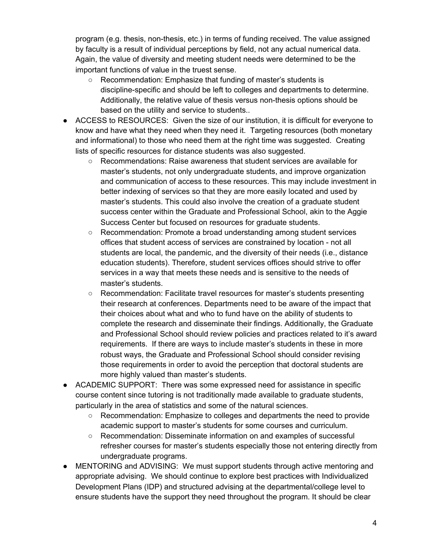program (e.g. thesis, non-thesis, etc.) in terms of funding received. The value assigned by faculty is a result of individual perceptions by field, not any actual numerical data. Again, the value of diversity and meeting student needs were determined to be the important functions of value in the truest sense.

- Recommendation: Emphasize that funding of master's students is discipline-specific and should be left to colleges and departments to determine. Additionally, the relative value of thesis versus non-thesis options should be based on the utility and service to students..
- ACCESS to RESOURCES: Given the size of our institution, it is difficult for everyone to know and have what they need when they need it. Targeting resources (both monetary and informational) to those who need them at the right time was suggested. Creating lists of specific resources for distance students was also suggested.
	- Recommendations: Raise awareness that student services are available for master's students, not only undergraduate students, and improve organization and communication of access to these resources. This may include investment in better indexing of services so that they are more easily located and used by master's students. This could also involve the creation of a graduate student success center within the Graduate and Professional School, akin to the Aggie Success Center but focused on resources for graduate students.
	- Recommendation: Promote a broad understanding among student services offices that student access of services are constrained by location - not all students are local, the pandemic, and the diversity of their needs (i.e., distance education students). Therefore, student services offices should strive to offer services in a way that meets these needs and is sensitive to the needs of master's students.
	- Recommendation: Facilitate travel resources for master's students presenting their research at conferences. Departments need to be aware of the impact that their choices about what and who to fund have on the ability of students to complete the research and disseminate their findings. Additionally, the Graduate and Professional School should review policies and practices related to it's award requirements. If there are ways to include master's students in these in more robust ways, the Graduate and Professional School should consider revising those requirements in order to avoid the perception that doctoral students are more highly valued than master's students.
- ACADEMIC SUPPORT: There was some expressed need for assistance in specific course content since tutoring is not traditionally made available to graduate students, particularly in the area of statistics and some of the natural sciences.
	- Recommendation: Emphasize to colleges and departments the need to provide academic support to master's students for some courses and curriculum.
	- Recommendation: Disseminate information on and examples of successful refresher courses for master's students especially those not entering directly from undergraduate programs.
- MENTORING and ADVISING: We must support students through active mentoring and appropriate advising. We should continue to explore best practices with Individualized Development Plans (IDP) and structured advising at the departmental/college level to ensure students have the support they need throughout the program. It should be clear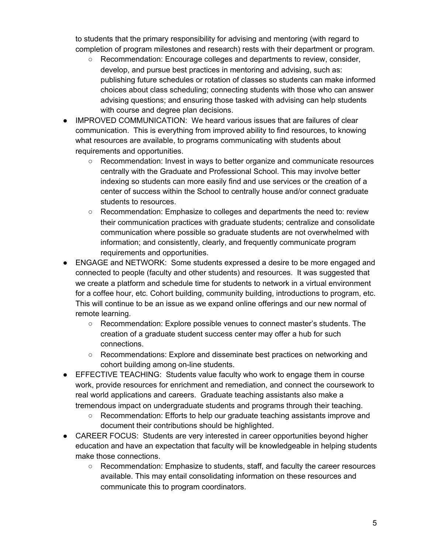to students that the primary responsibility for advising and mentoring (with regard to completion of program milestones and research) rests with their department or program.

- Recommendation: Encourage colleges and departments to review, consider, develop, and pursue best practices in mentoring and advising, such as: publishing future schedules or rotation of classes so students can make informed choices about class scheduling; connecting students with those who can answer advising questions; and ensuring those tasked with advising can help students with course and degree plan decisions.
- IMPROVED COMMUNICATION: We heard various issues that are failures of clear communication. This is everything from improved ability to find resources, to knowing what resources are available, to programs communicating with students about requirements and opportunities.
	- Recommendation: Invest in ways to better organize and communicate resources centrally with the Graduate and Professional School. This may involve better indexing so students can more easily find and use services or the creation of a center of success within the School to centrally house and/or connect graduate students to resources.
	- Recommendation: Emphasize to colleges and departments the need to: review their communication practices with graduate students; centralize and consolidate communication where possible so graduate students are not overwhelmed with information; and consistently, clearly, and frequently communicate program requirements and opportunities.
- ENGAGE and NETWORK: Some students expressed a desire to be more engaged and connected to people (faculty and other students) and resources. It was suggested that we create a platform and schedule time for students to network in a virtual environment for a coffee hour, etc. Cohort building, community building, introductions to program, etc. This will continue to be an issue as we expand online offerings and our new normal of remote learning.
	- Recommendation: Explore possible venues to connect master's students. The creation of a graduate student success center may offer a hub for such connections.
	- Recommendations: Explore and disseminate best practices on networking and cohort building among on-line students.
- EFFECTIVE TEACHING: Students value faculty who work to engage them in course work, provide resources for enrichment and remediation, and connect the coursework to real world applications and careers. Graduate teaching assistants also make a tremendous impact on undergraduate students and programs through their teaching.
	- Recommendation: Efforts to help our graduate teaching assistants improve and document their contributions should be highlighted.
- CAREER FOCUS: Students are very interested in career opportunities beyond higher education and have an expectation that faculty will be knowledgeable in helping students make those connections.
	- Recommendation: Emphasize to students, staff, and faculty the career resources available. This may entail consolidating information on these resources and communicate this to program coordinators.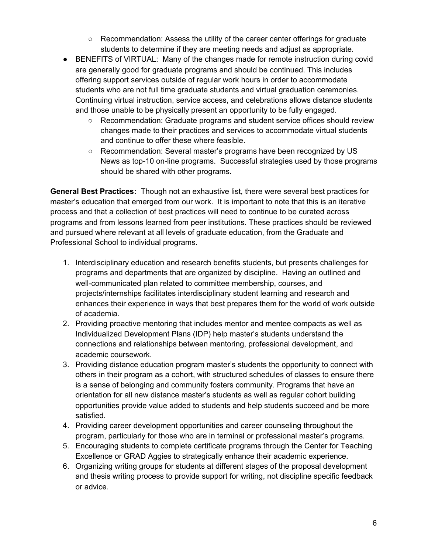- Recommendation: Assess the utility of the career center offerings for graduate students to determine if they are meeting needs and adjust as appropriate.
- BENEFITS of VIRTUAL: Many of the changes made for remote instruction during covid are generally good for graduate programs and should be continued. This includes offering support services outside of regular work hours in order to accommodate students who are not full time graduate students and virtual graduation ceremonies. Continuing virtual instruction, service access, and celebrations allows distance students and those unable to be physically present an opportunity to be fully engaged.
	- Recommendation: Graduate programs and student service offices should review changes made to their practices and services to accommodate virtual students and continue to offer these where feasible.
	- Recommendation: Several master's programs have been recognized by US News as top-10 on-line programs. Successful strategies used by those programs should be shared with other programs.

**General Best Practices:** Though not an exhaustive list, there were several best practices for master's education that emerged from our work. It is important to note that this is an iterative process and that a collection of best practices will need to continue to be curated across programs and from lessons learned from peer institutions. These practices should be reviewed and pursued where relevant at all levels of graduate education, from the Graduate and Professional School to individual programs.

- 1. Interdisciplinary education and research benefits students, but presents challenges for programs and departments that are organized by discipline. Having an outlined and well-communicated plan related to committee membership, courses, and projects/internships facilitates interdisciplinary student learning and research and enhances their experience in ways that best prepares them for the world of work outside of academia.
- 2. Providing proactive mentoring that includes mentor and mentee compacts as well as Individualized Development Plans (IDP) help master's students understand the connections and relationships between mentoring, professional development, and academic coursework.
- 3. Providing distance education program master's students the opportunity to connect with others in their program as a cohort, with structured schedules of classes to ensure there is a sense of belonging and community fosters community. Programs that have an orientation for all new distance master's students as well as regular cohort building opportunities provide value added to students and help students succeed and be more satisfied.
- 4. Providing career development opportunities and career counseling throughout the program, particularly for those who are in terminal or professional master's programs.
- 5. Encouraging students to complete certificate programs through the Center for Teaching Excellence or GRAD Aggies to strategically enhance their academic experience.
- 6. Organizing writing groups for students at different stages of the proposal development and thesis writing process to provide support for writing, not discipline specific feedback or advice.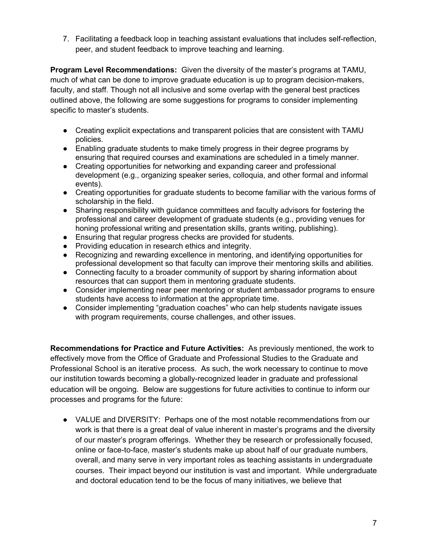7. Facilitating a feedback loop in teaching assistant evaluations that includes self-reflection, peer, and student feedback to improve teaching and learning.

**Program Level Recommendations:** Given the diversity of the master's programs at TAMU, much of what can be done to improve graduate education is up to program decision-makers, faculty, and staff. Though not all inclusive and some overlap with the general best practices outlined above, the following are some suggestions for programs to consider implementing specific to master's students.

- Creating explicit expectations and transparent policies that are consistent with TAMU policies.
- Enabling graduate students to make timely progress in their degree programs by ensuring that required courses and examinations are scheduled in a timely manner.
- Creating opportunities for networking and expanding career and professional development (e.g., organizing speaker series, colloquia, and other formal and informal events).
- Creating opportunities for graduate students to become familiar with the various forms of scholarship in the field.
- Sharing responsibility with guidance committees and faculty advisors for fostering the professional and career development of graduate students (e.g., providing venues for honing professional writing and presentation skills, grants writing, publishing).
- Ensuring that regular progress checks are provided for students.
- Providing education in research ethics and integrity.
- Recognizing and rewarding excellence in mentoring, and identifying opportunities for professional development so that faculty can improve their mentoring skills and abilities.
- Connecting faculty to a broader community of support by sharing information about resources that can support them in mentoring graduate students.
- Consider implementing near peer mentoring or student ambassador programs to ensure students have access to information at the appropriate time.
- Consider implementing "graduation coaches" who can help students navigate issues with program requirements, course challenges, and other issues.

**Recommendations for Practice and Future Activities:** As previously mentioned, the work to effectively move from the Office of Graduate and Professional Studies to the Graduate and Professional School is an iterative process. As such, the work necessary to continue to move our institution towards becoming a globally-recognized leader in graduate and professional education will be ongoing. Below are suggestions for future activities to continue to inform our processes and programs for the future:

● VALUE and DIVERSITY: Perhaps one of the most notable recommendations from our work is that there is a great deal of value inherent in master's programs and the diversity of our master's program offerings. Whether they be research or professionally focused, online or face-to-face, master's students make up about half of our graduate numbers, overall, and many serve in very important roles as teaching assistants in undergraduate courses. Their impact beyond our institution is vast and important. While undergraduate and doctoral education tend to be the focus of many initiatives, we believe that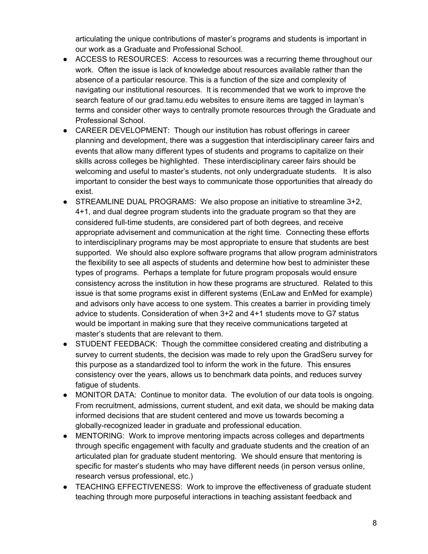articulating the unique contributions of master's programs and students is important in our work as a Graduate and Professional School.

- ACCESS to RESOURCES: Access to resources was a recurring theme throughout our work. Often the issue is lack of knowledge about resources available rather than the absence of a particular resource. This is a function of the size and complexity of navigating our institutional resources. It is recommended that we work to improve the search feature of our grad.tamu.edu websites to ensure items are tagged in layman's terms and consider other ways to centrally promote resources through the Graduate and Professional School.
- CAREER DEVELOPMENT: Though our institution has robust offerings in career planning and development, there was a suggestion that interdisciplinary career fairs and events that allow many different types of students and programs to capitalize on their skills across colleges be highlighted. These interdisciplinary career fairs should be welcoming and useful to master's students, not only undergraduate students. It is also important to consider the best ways to communicate those opportunities that already do exist.
- STREAMLINE DUAL PROGRAMS: We also propose an initiative to streamline 3+2, 4+1, and dual degree program students into the graduate program so that they are considered full-time students, are considered part of both degrees, and receive appropriate advisement and communication at the right time. Connecting these efforts to interdisciplinary programs may be most appropriate to ensure that students are best supported. We should also explore software programs that allow program administrators the flexibility to see all aspects of students and determine how best to administer these types of programs. Perhaps a template for future program proposals would ensure consistency across the institution in how these programs are structured. Related to this issue is that some programs exist in different systems (EnLaw and EnMed for example) and advisors only have access to one system. This creates a barrier in providing timely advice to students. Consideration of when 3+2 and 4+1 students move to G7 status would be important in making sure that they receive communications targeted at master's students that are relevant to them.
- STUDENT FEEDBACK: Though the committee considered creating and distributing a survey to current students, the decision was made to rely upon the GradSeru survey for this purpose as a standardized tool to inform the work in the future. This ensures consistency over the years, allows us to benchmark data points, and reduces survey fatigue of students.
- MONITOR DATA: Continue to monitor data. The evolution of our data tools is ongoing. From recruitment, admissions, current student, and exit data, we should be making data informed decisions that are student centered and move us towards becoming a globally-recognized leader in graduate and professional education.
- MENTORING: Work to improve mentoring impacts across colleges and departments through specific engagement with faculty and graduate students and the creation of an articulated plan for graduate student mentoring. We should ensure that mentoring is specific for master's students who may have different needs (in person versus online, research versus professional, etc.)
- TEACHING EFFECTIVENESS: Work to improve the effectiveness of graduate student teaching through more purposeful interactions in teaching assistant feedback and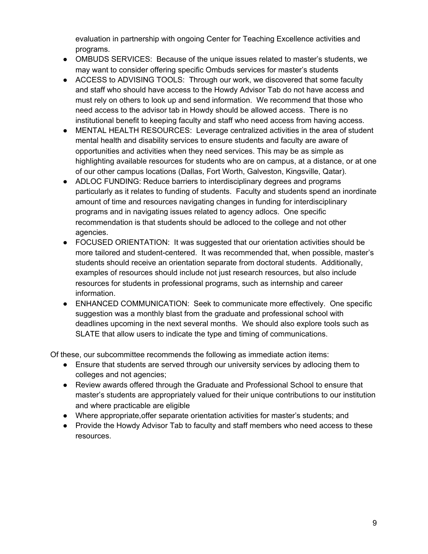evaluation in partnership with ongoing Center for Teaching Excellence activities and programs.

- OMBUDS SERVICES: Because of the unique issues related to master's students, we may want to consider offering specific Ombuds services for master's students
- ACCESS to ADVISING TOOLS: Through our work, we discovered that some faculty and staff who should have access to the Howdy Advisor Tab do not have access and must rely on others to look up and send information. We recommend that those who need access to the advisor tab in Howdy should be allowed access. There is no institutional benefit to keeping faculty and staff who need access from having access.
- MENTAL HEALTH RESOURCES: Leverage centralized activities in the area of student mental health and disability services to ensure students and faculty are aware of opportunities and activities when they need services. This may be as simple as highlighting available resources for students who are on campus, at a distance, or at one of our other campus locations (Dallas, Fort Worth, Galveston, Kingsville, Qatar).
- ADLOC FUNDING: Reduce barriers to interdisciplinary degrees and programs particularly as it relates to funding of students. Faculty and students spend an inordinate amount of time and resources navigating changes in funding for interdisciplinary programs and in navigating issues related to agency adlocs. One specific recommendation is that students should be adloced to the college and not other agencies.
- FOCUSED ORIENTATION: It was suggested that our orientation activities should be more tailored and student-centered. It was recommended that, when possible, master's students should receive an orientation separate from doctoral students. Additionally, examples of resources should include not just research resources, but also include resources for students in professional programs, such as internship and career information.
- ENHANCED COMMUNICATION: Seek to communicate more effectively. One specific suggestion was a monthly blast from the graduate and professional school with deadlines upcoming in the next several months. We should also explore tools such as SLATE that allow users to indicate the type and timing of communications.

Of these, our subcommittee recommends the following as immediate action items:

- Ensure that students are served through our university services by adlocing them to colleges and not agencies;
- Review awards offered through the Graduate and Professional School to ensure that master's students are appropriately valued for their unique contributions to our institution and where practicable are eligible
- Where appropriate,offer separate orientation activities for master's students; and
- Provide the Howdy Advisor Tab to faculty and staff members who need access to these resources.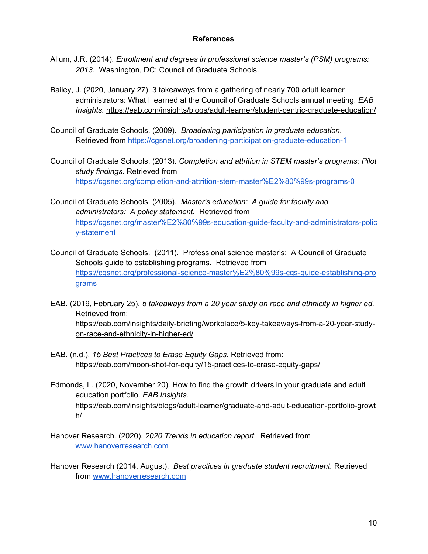#### **References**

- Allum, J.R. (2014). *Enrollment and degrees in professional science master's (PSM) programs: 2013*. Washington, DC: Council of Graduate Schools.
- Bailey, J. (2020, January 27). 3 takeaways from a gathering of nearly 700 adult learner administrators: What I learned at the Council of Graduate Schools annual meeting. *EAB Insights.* <https://eab.com/insights/blogs/adult-learner/student-centric-graduate-education/>
- Council of Graduate Schools. (2009). *Broadening participation in graduate education.* Retrieved from <https://cgsnet.org/broadening-participation-graduate-education-1>
- Council of Graduate Schools. (2013). *Completion and attrition in STEM master's programs: Pilot study findings.* Retrieved from <https://cgsnet.org/completion-and-attrition-stem-master%E2%80%99s-programs-0>
- Council of Graduate Schools. (2005). *Master's education: A guide for faculty and administrators: A policy statement.* Retrieved from [https://cgsnet.org/master%E2%80%99s-education-guide-faculty-and-administrators-polic](https://cgsnet.org/master%E2%80%99s-education-guide-faculty-and-administrators-policy-statement) [y-statement](https://cgsnet.org/master%E2%80%99s-education-guide-faculty-and-administrators-policy-statement)
- Council of Graduate Schools. (2011). Professional science master's: A Council of Graduate Schools guide to establishing programs. Retrieved from [https://cgsnet.org/professional-science-master%E2%80%99s-cgs-guide-establishing-pro](https://cgsnet.org/professional-science-master%E2%80%99s-cgs-guide-establishing-programs) [grams](https://cgsnet.org/professional-science-master%E2%80%99s-cgs-guide-establishing-programs)
- EAB. (2019, February 25). *5 takeaways from a 20 year study on race and ethnicity in higher ed.* Retrieved from: [https://eab.com/insights/daily-briefing/workplace/5-key-takeaways-from-a-20-year-study](https://eab.com/insights/daily-briefing/workplace/5-key-takeaways-from-a-20-year-study-on-race-and-ethnicity-in-higher-ed/)[on-race-and-ethnicity-in-higher-ed/](https://eab.com/insights/daily-briefing/workplace/5-key-takeaways-from-a-20-year-study-on-race-and-ethnicity-in-higher-ed/)
- EAB. (n.d.). *15 Best Practices to Erase Equity Gaps*. Retrieved from: <https://eab.com/moon-shot-for-equity/15-practices-to-erase-equity-gaps/>
- Edmonds, L. (2020, November 20). How to find the growth drivers in your graduate and adult education portfolio. *EAB Insights*. [https://eab.com/insights/blogs/adult-learner/graduate-and-adult-education-portfolio-growt](https://eab.com/insights/blogs/adult-learner/graduate-and-adult-education-portfolio-growth/) [h/](https://eab.com/insights/blogs/adult-learner/graduate-and-adult-education-portfolio-growth/)
- Hanover Research. (2020). *2020 Trends in education report.* Retrieved from [www.hanoverresearch.com](http://www.hanoverresearch.com/)

Hanover Research (2014, August). *Best practices in graduate student recruitment.* Retrieved from [www.hanoverresearch.com](http://www.hanoverresearch.com/)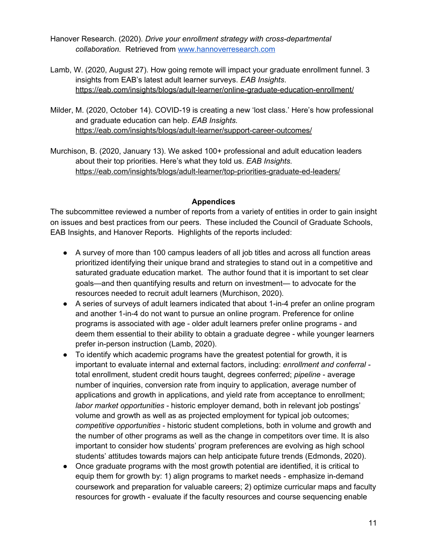Hanover Research. (2020). *Drive your enrollment strategy with cross-departmental collaboration.* Retrieved from [www.hannoverresearch.com](http://www.hannoverresearch.com/)

- Lamb, W. (2020, August 27). How going remote will impact your graduate enrollment funnel. 3 insights from EAB's latest adult learner surveys. *EAB Insights*. <https://eab.com/insights/blogs/adult-learner/online-graduate-education-enrollment/>
- Milder, M. (2020, October 14). COVID-19 is creating a new 'lost class.' Here's how professional and graduate education can help. *EAB Insights.* <https://eab.com/insights/blogs/adult-learner/support-career-outcomes/>
- Murchison, B. (2020, January 13). We asked 100+ professional and adult education leaders about their top priorities. Here's what they told us. *EAB Insights.* <https://eab.com/insights/blogs/adult-learner/top-priorities-graduate-ed-leaders/>

#### **Appendices**

The subcommittee reviewed a number of reports from a variety of entities in order to gain insight on issues and best practices from our peers. These included the Council of Graduate Schools, EAB Insights, and Hanover Reports. Highlights of the reports included:

- A survey of more than 100 campus leaders of all job titles and across all function areas prioritized identifying their unique brand and strategies to stand out in a competitive and saturated graduate education market. The author found that it is important to set clear goals—and then quantifying results and return on investment— to advocate for the resources needed to recruit adult learners (Murchison, 2020).
- A series of surveys of adult learners indicated that about 1-in-4 prefer an online program and another 1-in-4 do not want to pursue an online program. Preference for online programs is associated with age - older adult learners prefer online programs - and deem them essential to their ability to obtain a graduate degree - while younger learners prefer in-person instruction (Lamb, 2020).
- To identify which academic programs have the greatest potential for growth, it is important to evaluate internal and external factors, including: *enrollment and conferral*  total enrollment, student credit hours taught, degrees conferred; *pipeline* - average number of inquiries, conversion rate from inquiry to application, average number of applications and growth in applications, and yield rate from acceptance to enrollment; *labor market opportunities* - historic employer demand, both in relevant job postings' volume and growth as well as as projected employment for typical job outcomes; *competitive opportunities* - historic student completions, both in volume and growth and the number of other programs as well as the change in competitors over time. It is also important to consider how students' program preferences are evolving as high school students' attitudes towards majors can help anticipate future trends (Edmonds, 2020).
- Once graduate programs with the most growth potential are identified, it is critical to equip them for growth by: 1) align programs to market needs - emphasize in-demand coursework and preparation for valuable careers; 2) optimize curricular maps and faculty resources for growth - evaluate if the faculty resources and course [sequencing](https://eab.com/insights/blogs/adult-learner/graduate-online-program-design-mistakes/) enable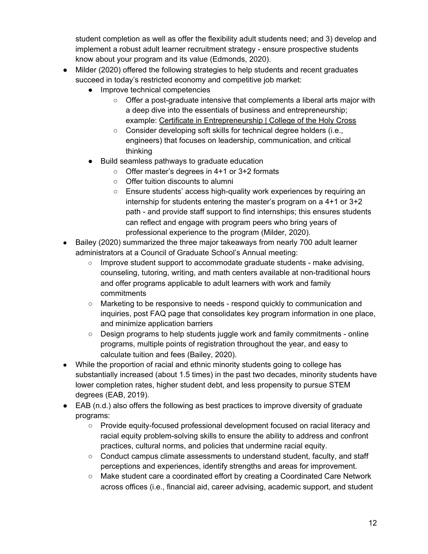student completion as well as offer the flexibility adult students need; and 3) develop and implement a robust adult learner recruitment strategy - ensure prospective students know about your program and its value (Edmonds, 2020).

- Milder (2020) offered the following strategies to help students and recent graduates succeed in today's restricted economy and competitive job market:
	- Improve technical competencies
		- $\circ$  Offer a post-graduate intensive that complements a liberal arts major with a deep dive into the essentials of business and entrepreneurship; example: Certificate in [Entrepreneurship](https://www.holycross.edu/academics/ciocca-center-business-ethics-and-society/business-certificate-programs/certificate-entrepreneurship) | College of the Holy Cross
		- Consider developing soft skills for technical degree holders (i.e., engineers) that focuses on leadership, communication, and critical thinking
	- Build seamless pathways to graduate education
		- Offer master's degrees in 4+1 or 3+2 formats
		- Offer tuition discounts to alumni
		- Ensure students' access high-quality work experiences by requiring an internship for students entering the master's program on a 4+1 or 3+2 path - and provide staff support to find internships; this ensures students can reflect and engage with program peers who bring years of professional experience to the program (Milder, 2020).
- Bailey (2020) summarized the three major takeaways from nearly 700 adult learner administrators at a Council of Graduate School's Annual meeting:
	- $\circ$  Improve student support to accommodate graduate students make advising, counseling, tutoring, writing, and math centers available at non-traditional hours and offer programs applicable to adult learners with work and family commitments
	- Marketing to be responsive to needs respond quickly to communication and inquiries, post FAQ page that consolidates key program information in one place, and minimize application barriers
	- $\circ$  Design programs to help students juggle work and family commitments online programs, multiple points of registration throughout the year, and easy to calculate tuition and fees (Bailey, 2020).
- While the proportion of racial and ethnic minority students going to college has substantially increased (about 1.5 times) in the past two decades, minority students have lower completion rates, higher student debt, and less propensity to pursue STEM degrees (EAB, 2019).
- EAB (n.d.) also offers the following as best practices to improve diversity of graduate programs:
	- Provide equity-focused professional development focused on racial literacy and racial equity problem-solving skills to ensure the ability to address and confront practices, cultural norms, and policies that undermine racial equity.
	- $\circ$  Conduct campus climate assessments to understand student, faculty, and staff perceptions and experiences, identify strengths and areas for improvement.
	- Make student care a coordinated effort by creating a Coordinated Care Network across offices (i.e., financial aid, career advising, academic support, and student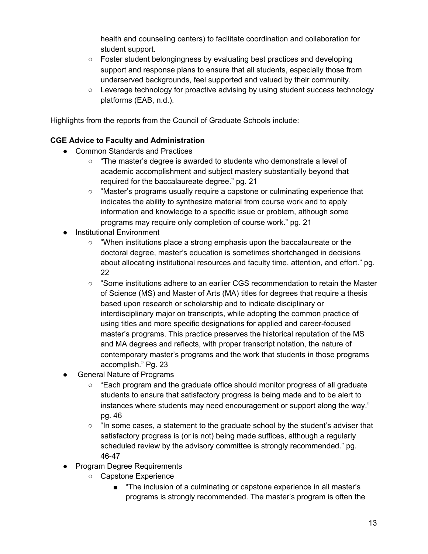health and counseling centers) to facilitate coordination and collaboration for student support.

- Foster student belongingness by evaluating best practices and developing support and response plans to ensure that all students, especially those from underserved backgrounds, feel supported and valued by their community.
- Leverage technology for proactive advising by using student success technology platforms (EAB, n.d.).

Highlights from the reports from the Council of Graduate Schools include:

# **CGE Advice to Faculty and Administration**

- Common Standards and Practices
	- "The master's degree is awarded to students who demonstrate a level of academic accomplishment and subject mastery substantially beyond that required for the baccalaureate degree." pg. 21
	- "Master's programs usually require a capstone or culminating experience that indicates the ability to synthesize material from course work and to apply information and knowledge to a specific issue or problem, although some programs may require only completion of course work." pg. 21
- Institutional Environment
	- "When institutions place a strong emphasis upon the baccalaureate or the doctoral degree, master's education is sometimes shortchanged in decisions about allocating institutional resources and faculty time, attention, and effort." pg. 22
	- $\circ$  "Some institutions adhere to an earlier CGS recommendation to retain the Master of Science (MS) and Master of Arts (MA) titles for degrees that require a thesis based upon research or scholarship and to indicate disciplinary or interdisciplinary major on transcripts, while adopting the common practice of using titles and more specific designations for applied and career-focused master's programs. This practice preserves the historical reputation of the MS and MA degrees and reflects, with proper transcript notation, the nature of contemporary master's programs and the work that students in those programs accomplish." Pg. 23
- **General Nature of Programs** 
	- "Each program and the graduate office should monitor progress of all graduate students to ensure that satisfactory progress is being made and to be alert to instances where students may need encouragement or support along the way." pg. 46
	- $\circ$  "In some cases, a statement to the graduate school by the student's adviser that satisfactory progress is (or is not) being made suffices, although a regularly scheduled review by the advisory committee is strongly recommended." pg. 46-47
- Program Degree Requirements
	- Capstone Experience
		- "The inclusion of a culminating or capstone experience in all master's programs is strongly recommended. The master's program is often the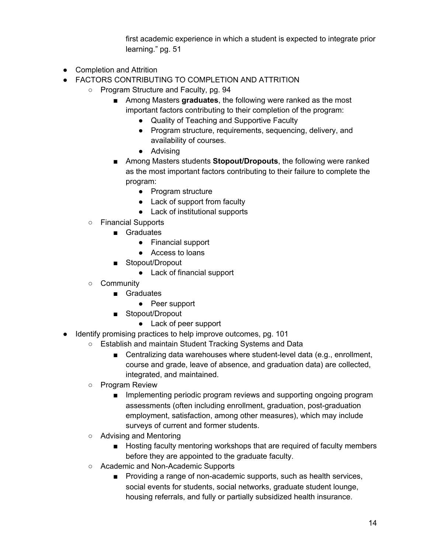first academic experience in which a student is expected to integrate prior learning." pg. 51

- Completion and Attrition
- FACTORS CONTRIBUTING TO COMPLETION AND ATTRITION
	- Program Structure and Faculty, pg. 94
		- Among Masters graduates, the following were ranked as the most important factors contributing to their completion of the program:
			- Quality of Teaching and Supportive Faculty
			- Program structure, requirements, sequencing, delivery, and availability of courses.
			- Advising
		- Among Masters students **Stopout/Dropouts**, the following were ranked as the most important factors contributing to their failure to complete the program:
			- Program structure
			- Lack of support from faculty
			- Lack of institutional supports
		- Financial Supports
			- Graduates
				- Financial support
				- Access to loans
			- Stopout/Dropout
				- Lack of financial support
		- Community
			- Graduates
				- Peer support
			- Stopout/Dropout
				- Lack of peer support
- Identify promising practices to help improve outcomes, pg. 101
	- Establish and maintain Student Tracking Systems and Data
		- Centralizing data warehouses where student-level data (e.g., enrollment, course and grade, leave of absence, and graduation data) are collected, integrated, and maintained.
	- Program Review
		- Implementing periodic program reviews and supporting ongoing program assessments (often including enrollment, graduation, post-graduation employment, satisfaction, among other measures), which may include surveys of current and former students.
	- Advising and Mentoring
		- Hosting faculty mentoring workshops that are required of faculty members before they are appointed to the graduate faculty.
	- Academic and Non-Academic Supports
		- Providing a range of non-academic supports, such as health services, social events for students, social networks, graduate student lounge, housing referrals, and fully or partially subsidized health insurance.